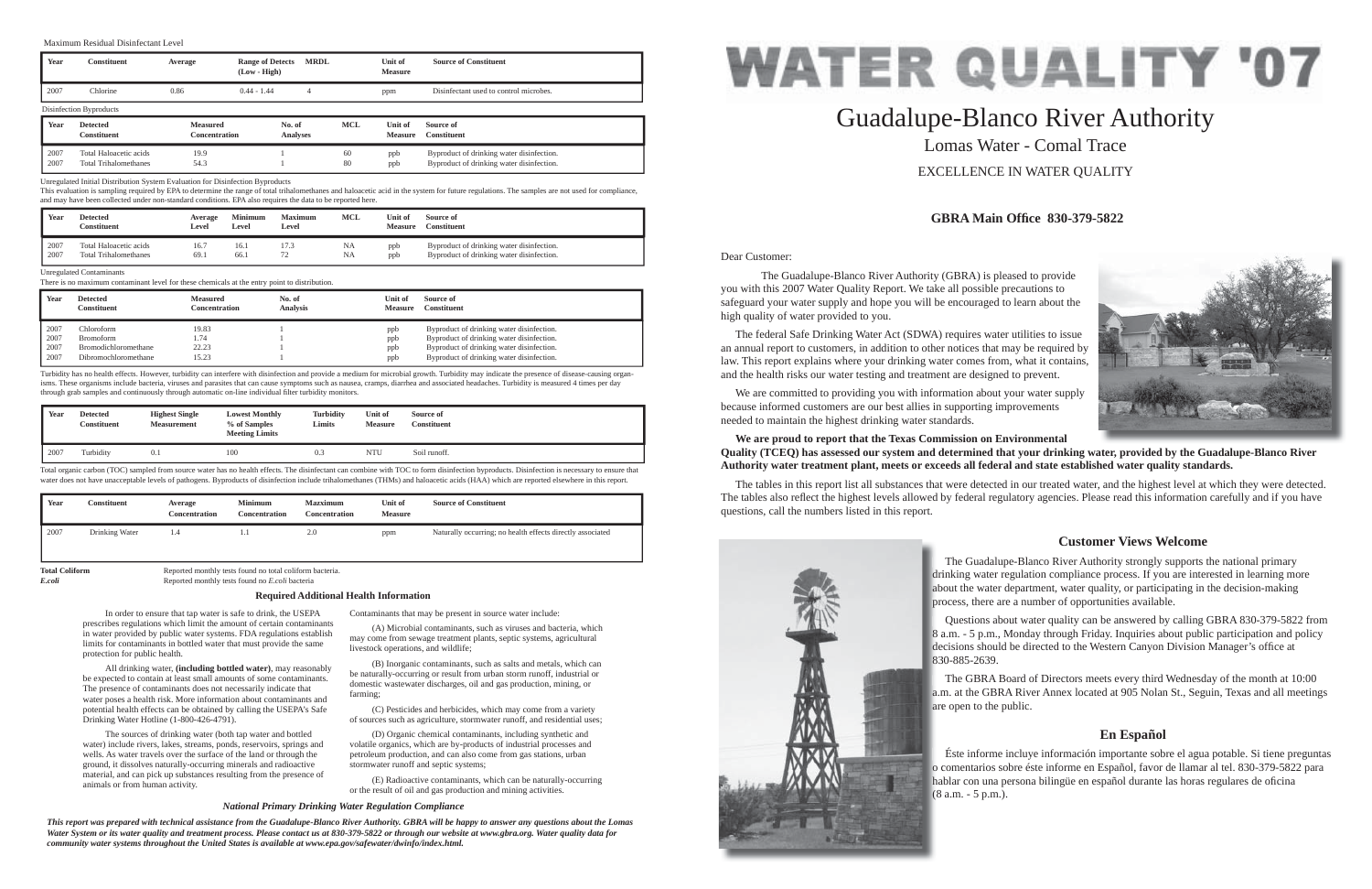Dear Customer:

 The Guadalupe-Blanco River Authority (GBRA) is pleased to provide you with this 2007 Water Quality Report. We take all possible precautions to safeguard your water supply and hope you will be encouraged to learn about the high quality of water provided to you.

 The federal Safe Drinking Water Act (SDWA) requires water utilities to issue an annual report to customers, in addition to other notices that may be required by law. This report explains where your drinking water comes from, what it contains, and the health risks our water testing and treatment are designed to prevent.

 We are committed to providing you with information about your water supply because informed customers are our best allies in supporting improvements needed to maintain the highest drinking water standards.

# **We are proud to report that the Texas Commission on Environmental**  Quality (TCEQ) has assessed our system and determined that your drinking water, provided by the Guadalupe-Blanco River **Authority water treatment plant, meets or exceeds all federal and state established water quality standards.**

The tables in this report list all substances that were detected in our treated water, and the highest level at which they were detected. The tables also reflect the highest levels allowed by federal regulatory agencies. Please read this information carefully and if you have questions, call the numbers listed in this report.



# Guadalupe-Blanco River Authority Lomas Water - Comal TraceEXCELLENCE IN WATER QUALITY

# **GBRA Main Offi ce 830-379-5822**

# **Customer Views Welcome**

# **En Español**

 In order to ensure that tap water is safe to drink, the USEPA prescribes regulations which limit the amount of certain contaminants in water provided by public water systems. FDA regulations establish limits for contaminants in bottled water that must provide the same protection for public health.

 All drinking water, **(including bottled water)**, may reasonably be expected to contain at least small amounts of some contaminants. The presence of contaminants does not necessarily indicate that water poses a health risk. More information about contaminants and potential health effects can be obtained by calling the USEPA's Safe Drinking Water Hotline (1-800-426-4791).

 The Guadalupe-Blanco River Authority strongly supports the national primary drinking water regulation compliance process. If you are interested in learning more dri about the water department, water quality, or participating in the decision-making ab process, there are a number of opportunities available. pro

 The sources of drinking water (both tap water and bottled water) include rivers, lakes, streams, ponds, reservoirs, springs and wells. As water travels over the surface of the land or through the ground, it dissolves naturally-occurring minerals and radioactive material, and can pick up substances resulting from the presence of animals or from human activity.

 Questions about water quality can be answered by calling GBRA 830-379-5822 from 8 a.m. - 5 p.m., Monday through Friday. Inquiries about public participation and policy a decisions should be directed to the Western Canyon Division Manager's office at 830-885-2639. 83

 The GBRA Board of Directors meets every third Wednesday of the month at 10:00 a.m. at the GBRA River Annex located at 905 Nolan St., Seguin, Texas and all meetings a.m are open to the public. are

Contaminants that may be present in source water include:

 Éste informe incluye información importante sobre el agua potable. Si tiene preguntas o comentarios sobre éste informe en Español, favor de llamar al tel. 830-379-5822 para o c hablar con una persona bilingüe en español durante las horas regulares de oficina (8 a.m. - 5 p.m.).



**Total Coliform** Reported monthly tests found no total coliform bacteria.<br>
Reported monthly tests found no *E.coli* bacteria *E.coli* Reported monthly tests found no *E.coli* bacteria

> (A) Microbial contaminants, such as viruses and bacteria, which may come from sewage treatment plants, septic systems, agricultural livestock operations, and wildlife;

> (B) Inorganic contaminants, such as salts and metals, which can be naturally-occurring or result from urban storm runoff, industrial or domestic wastewater discharges, oil and gas production, mining, or farming;

> (C) Pesticides and herbicides, which may come from a variety of sources such as agriculture, stormwater runoff, and residential uses;

 (D) Organic chemical contaminants, including synthetic and volatile organics, which are by-products of industrial processes and petroleum production, and can also come from gas stations, urban stormwater runoff and septic systems;

 (E) Radioactive contaminants, which can be naturally-occurring or the result of oil and gas production and mining activities.

#### **Required Additional Health Information**

#### *National Primary Drinking Water Regulation Compliance*

*This report was prepared with technical assistance from the Guadalupe-Blanco River Authority. GBRA will be happy to answer any questions about the Lomas Water System or its water quality and treatment process. Please contact us at 830-379-5822 or through our website at www.gbra.org. Water quality data for community water systems throughout the United States is available at www.epa.gov/safewater/dwinfo/index.html.*

### Maximum Residual Disinfectant Level

| Year | <b>Constituent</b>                    | Average                          | <b>Range of Detects</b><br>$(Low - High)$ | <b>MRDL</b>     |            | Unit of<br><b>Measure</b> | <b>Source of Constituent</b>           |  |  |
|------|---------------------------------------|----------------------------------|-------------------------------------------|-----------------|------------|---------------------------|----------------------------------------|--|--|
| 2007 | Chlorine                              | 0.86                             | $0.44 - 1.44$                             | 4               |            | ppm                       | Disinfectant used to control microbes. |  |  |
|      | Disinfection Byproducts               |                                  |                                           |                 |            |                           |                                        |  |  |
|      |                                       |                                  |                                           |                 |            |                           |                                        |  |  |
| Year | <b>Detected</b><br><b>Constituent</b> | <b>Measured</b><br>Concentration | No. of                                    | <b>Analyses</b> | <b>MCL</b> | Unit of<br><b>Measure</b> | Source of<br><b>Constituent</b>        |  |  |

#### Unregulated Contaminants

There is no maximum contaminant level for these chemicals at the entry point to distribution.

| Year | <b>Detected</b><br><b>Constituent</b> | Measured<br><b>Concentration</b> | No. of<br><b>Analysis</b> | Unit of<br><b>Measure</b> | Source of<br><b>Constituent</b>           |
|------|---------------------------------------|----------------------------------|---------------------------|---------------------------|-------------------------------------------|
| 2007 | Chloroform                            | 19.83                            |                           | ppb                       | Byproduct of drinking water disinfection. |
| 2007 | <b>Bromoform</b>                      | 1.74                             |                           | ppb                       | Byproduct of drinking water disinfection. |
| 2007 | Bromodichloromethane                  | 22.23                            |                           | ppb                       | Byproduct of drinking water disinfection. |
| 2007 | Dibromochloromethane                  | 15.23                            |                           | ppb                       | Byproduct of drinking water disinfection. |

Turbidity has no health effects. However, turbidity can interfere with disinfection and provide a medium for microbial growth. Turbidity may indicate the presence of disease-causing organisms. These organisms include bacteria, viruses and parasites that can cause symptoms such as nausea, cramps, diarrhea and associated headaches. Turbidity is measured 4 times per day through grab samples and continuously through automatic on-line individual filter turbidity monitors.

| Year | <b>Detected</b><br>Constituent | <b>Highest Single</b><br><b>Measurement</b> | <b>Lowest Monthly</b><br>% of Samples<br><b>Meeting Limits</b> | <b>Turbidity</b><br><b>Limits</b> | <b>Unit of</b><br><b>Measure</b> | Source of<br><b>Constituent</b> |
|------|--------------------------------|---------------------------------------------|----------------------------------------------------------------|-----------------------------------|----------------------------------|---------------------------------|
| 2007 | Turbidity                      | 0.1                                         | 100                                                            | 0.3                               | NTU                              | Soil runoff.                    |

Total organic carbon (TOC) sampled from source water has no health effects. The disinfectant can combine with TOC to form disinfection byproducts. Disinfection is necessary to ensure that water does not have unacceptable levels of pathogens. Byproducts of disinfection include trihalomethanes (THMs) and haloacetic acids (HAA) which are reported elsewhere in this report.

| Year | Constituent    | Average<br>Concentration | <b>Minimum</b><br>Concentration | <b>Mazximum</b><br>Concentration | Unit of<br><b>Measure</b> | <b>Source of Constituent</b>                               |
|------|----------------|--------------------------|---------------------------------|----------------------------------|---------------------------|------------------------------------------------------------|
| 2007 | Drinking Water |                          |                                 | 2.0                              | ppm                       | Naturally occurring; no health effects directly associated |

| Year | Detected<br>Constituent      | Average<br>Level | <b>Minimum</b><br>Level | <b>Maximum</b><br>Level  | MCL | Unit of<br><b>Measure</b> | Source of<br>Constituent                  |
|------|------------------------------|------------------|-------------------------|--------------------------|-----|---------------------------|-------------------------------------------|
| 2007 | Total Haloacetic acids       | 16.7             | 16.1                    | 17.3                     | NA  | ppb                       | Byproduct of drinking water disinfection. |
| 2007 | <b>Total Trihalomethanes</b> | 69.1             | 66.1                    | $\overline{\phantom{a}}$ | NA  | ppb                       | Byproduct of drinking water disinfection. |

Unregulated Initial Distribution System Evaluation for Disinfection Byproducts

This evaluation is sampling required by EPA to determine the range of total trihalomethanes and haloacetic acid in the system for future regulations. The samples are not used for compliance, and may have been collected under non-standard conditions. EPA also requires the data to be reported here.